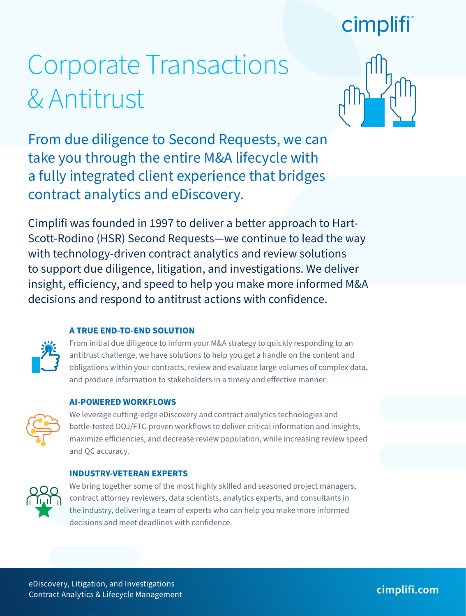## cimplifi

# Corporate Transactions & Antitrust



From due diligence to Second Requests, we can take you through the entire M&A lifecycle with a fully integrated client experience that bridges contract analytics and eDiscovery.

Cimplifi was founded in 1997 to deliver a better approach to Hart-Scott-Rodino (HSR) Second Requests—we continue to lead the way with technology-driven contract analytics and review solutions to support due diligence, litigation, and investigations. We deliver insight, efficiency, and speed to help you make more informed M&A decisions and respond to antitrust actions with confidence.

#### **A TRUE END-TO-END SOLUTION**

From initial due diligence to inform your M&A strategy to quickly responding to an antitrust challenge, we have solutions to help you get a handle on the content and obligations within your contracts, review and evaluate large volumes of complex data, and produce information to stakeholders in a timely and effective manner.

#### **AI-POWERED WORKFLOWS**



We leverage cutting-edge eDiscovery and contract analytics technologies and battle-tested DOJ/FTC-proven workflows to deliver critical information and insights, maximize efficiencies, and decrease review population, while increasing review speed and QC accuracy.

#### **INDUSTRY-VETERAN EXPERTS**



We bring together some of the most highly skilled and seasoned project managers, contract attorney reviewers, data scientists, analytics experts, and consultants in the industry, delivering a team of experts who can help you make more informed decisions and meet deadlines with confidence.